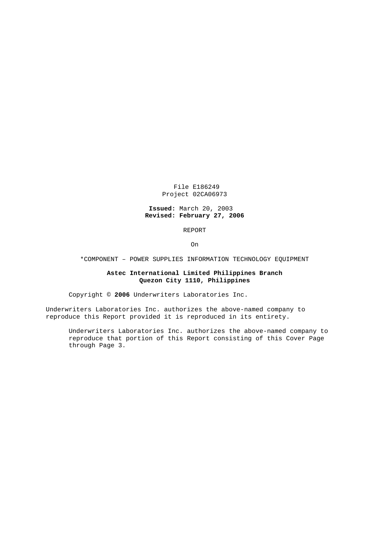File E186249 Project 02CA06973

## **Issued:** March 20, 2003 **Revised: February 27, 2006**

REPORT

On

\*COMPONENT – POWER SUPPLIES INFORMATION TECHNOLOGY EQUIPMENT

## **Astec International Limited Philippines Branch Quezon City 1110, Philippines**

Copyright © **2006** Underwriters Laboratories Inc.

Underwriters Laboratories Inc. authorizes the above-named company to reproduce this Report provided it is reproduced in its entirety.

Underwriters Laboratories Inc. authorizes the above-named company to reproduce that portion of this Report consisting of this Cover Page through Page 3.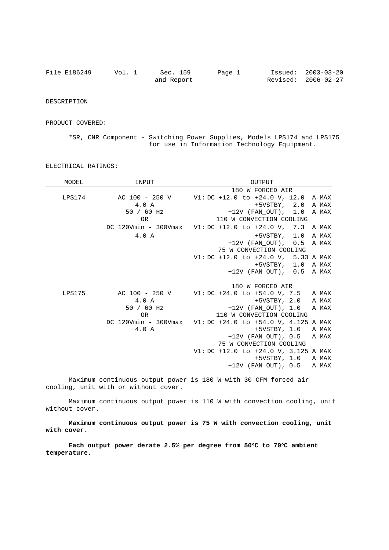| File E186249 | Vol. 1 | Sec. 159   | Page 1 | Issued: 2003-03-20  |
|--------------|--------|------------|--------|---------------------|
|              |        | and Report |        | Revised: 2006-02-27 |

DESCRIPTION

PRODUCT COVERED:

\*SR, CNR Component - Switching Power Supplies, Models LPS174 and LPS175 for use in Information Technology Equipment.

| MODEL  | INPUT        | OUTPUT                                                    |
|--------|--------------|-----------------------------------------------------------|
|        |              | 180 W FORCED AIR                                          |
| LPS174 |              | AC 100 - 250 V V1: DC +12.0 to +24.0 V, 12.0 A MAX        |
|        | 4.0 A        | +5VSTBY, 2.0 A MAX                                        |
|        | $50 / 60$ Hz | $+12V$ (FAN OUT), $1.0$ A MAX                             |
|        | <b>OR</b>    | 110 W CONVECTION COOLING                                  |
|        |              | DC 120Vmin - 300Vmax V1: DC +12.0 to +24.0 V, 7.3 A MAX   |
|        | 4.0 A        | +5VSTBY, 1.0 A MAX                                        |
|        |              | $+12V$ (FAN OUT), 0.5 A MAX                               |
|        |              | 75 W CONVECTION COOLING                                   |
|        |              | $V1:DC +12.0 to +24.0 V, 5.33 A MAX$                      |
|        |              | +5VSTBY, 1.0 A MAX                                        |
|        |              | $+12V$ (FAN OUT), $0.5$ A MAX                             |
|        |              |                                                           |
|        |              | 180 W FORCED AIR                                          |
| LPS175 |              | AC 100 - 250 V V1: DC +24.0 to +54.0 V, 7.5 A MAX         |
|        | 4.0 A        | +5VSTBY, 2.0 A MAX                                        |
|        | $50 / 60$ Hz | $+12V$ (FAN OUT), 1.0 A MAX                               |
|        | <b>OR</b>    | 110 W CONVECTION COOLING                                  |
|        |              | DC 120Vmin - 300Vmax V1: DC +24.0 to +54.0 V, 4.125 A MAX |
|        | 4.0 A        | $+5VSTBY$ , 1.0 A MAX                                     |
|        |              | $+12V$ (FAN OUT), 0.5 A MAX                               |
|        |              | 75 W CONVECTION COOLING                                   |
|        |              | $V1:DC +12.0 to +24.0 V, 3.125 A MAX$                     |
|        |              | +5VSTBY, 1.0 A MAX                                        |
|        |              | $+12V$ (FAN OUT), 0.5 A MAX                               |
|        |              |                                                           |

ELECTRICAL RATINGS:

Maximum continuous output power is 180 W with 30 CFM forced air cooling, unit with or without cover.

Maximum continuous output power is 110 W with convection cooling, unit without cover.

**Maximum continuous output power is 75 W with convection cooling, unit with cover.**

**Each output power derate 2.5% per degree from 50C to 70C ambient temperature.**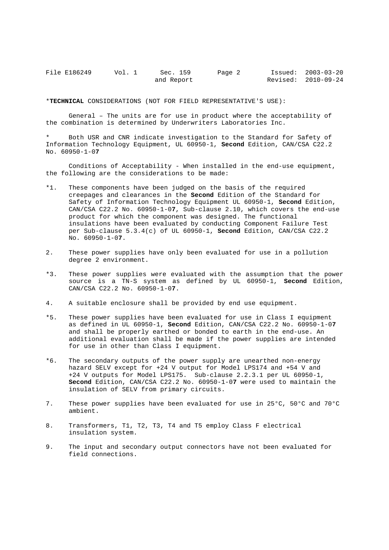| File E186249 | Vol. 1 | Sec. 159   | Page 2 | Issued: 2003-03-20  |
|--------------|--------|------------|--------|---------------------|
|              |        | and Report |        | Revised: 2010-09-24 |

\***TECHNICAL** CONSIDERATIONS (NOT FOR FIELD REPRESENTATIVE'S USE):

General – The units are for use in product where the acceptability of the combination is determined by Underwriters Laboratories Inc.

Both USR and CNR indicate investigation to the Standard for Safety of Information Technology Equipment, UL 60950-1, **Second** Edition, CAN/CSA C22.2 No. 60950-1-0**7**

Conditions of Acceptability - When installed in the end-use equipment, the following are the considerations to be made:

- \*1. These components have been judged on the basis of the required creepages and clearances in the **Second** Edition of the Standard for Safety of Information Technology Equipment UL 60950-1, **Second** Edition, CAN/CSA C22.2 No. 60950-1-0**7**, Sub-clause 2.10, which covers the end-use product for which the component was designed. The functional insulations have been evaluated by conducting Component Failure Test per Sub-clause 5.3.4(c) of UL 60950-1, **Second** Edition, CAN/CSA C22.2 No. 60950-1-0**7**.
- 2. These power supplies have only been evaluated for use in a pollution degree 2 environment.
- \*3. These power supplies were evaluated with the assumption that the power source is a TN-S system as defined by UL 60950-1, **Second** Edition, CAN/CSA C22.2 No. 60950-1-0**7**.
- 4. A suitable enclosure shall be provided by end use equipment.
- \*5. These power supplies have been evaluated for use in Class I equipment as defined in UL 60950-1, **Second** Edition, CAN/CSA C22.2 No. 60950-1-0**7** and shall be properly earthed or bonded to earth in the end-use. An additional evaluation shall be made if the power supplies are intended for use in other than Class I equipment.
- \*6. The secondary outputs of the power supply are unearthed non-energy hazard SELV except for +24 V output for Model LPS174 and +54 V and +24 V outputs for Model LPS175. Sub-clause 2.2.3.1 per UL 60950-1, **Second** Edition, CAN/CSA C22.2 No. 60950-1-0**7** were used to maintain the insulation of SELV from primary circuits.
- 7. These power supplies have been evaluated for use in 25°C, 50°C and 70°C ambient.
- 8. Transformers, T1, T2, T3, T4 and T5 employ Class F electrical insulation system.
- 9. The input and secondary output connectors have not been evaluated for field connections.